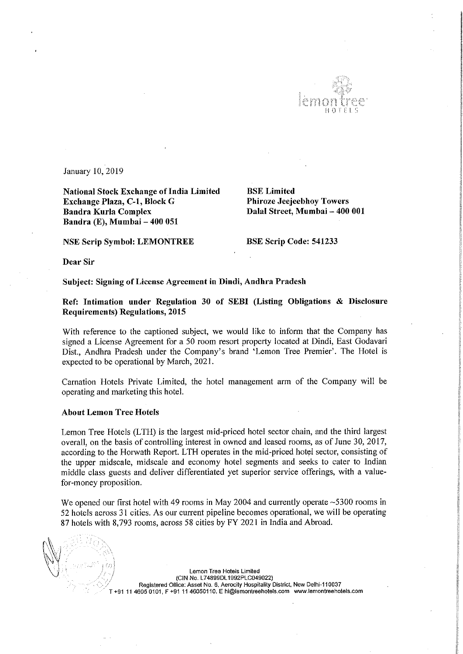

January 10, 2019

National Stock Exchange of India Limited<br> **Exchange Plaza, C-1, Block G** Phiroze Jeejeebhoy Towers Exchange Plaza, C-1, Block G Bandra Kurla Complex Bandra (E), Mumbai — 400 051

Dalal Street, Mumbai - 400 001

NSE Scrip Symbol: LEMONTREE BSE Scrip Code: 541233

Dear Sir

## Subject: Signing of License Agreement in Dindi, Andhra Pradesh

Ref: Intimation under Regulation <sup>30</sup> of SEBI (Listing Obligations & Disclosure Requirements) Regulations, 2015

With reference to the captioned subject, we would like to inform that the Company has signed <sup>a</sup> License Agreement for <sup>a</sup> <sup>50</sup> room resort property located at Dindi, East Godavari Dist., Andhra Pradesh under the Company's brand 'Lemon Tree Premier". The Hotel is expected to be operational by March, 2021.

Carnation Hotels Private Limited, the hotel management arm of the Company will be operating and marketing this hotel.

## About Lemon Tree Hotels

Lemon Tree Hotels (LTH) is the largest mid-priced hotel sector chain, and the third largest overall, on the basis of controlling interest in owned and leased rooms, as of June 30, 2017, according to the Horwath Report. LTH operates in the mid-priced hotel sector, consisting of the upper midscale, midscale and economy hotel segments and seeks to cater to Indian middle class guests and deliver differentiated yet superior service offerings, with <sup>a</sup> valuefor-money proposition.

We opened our first hotel with 49 rooms in May 2004 and currently operate ~5300 rooms in <sup>52</sup> hotels across <sup>31</sup> cities. As our current pipeline becomes operational, we will be operating <sup>87</sup> hotels with 8,793 rooms, across <sup>58</sup> cities by FY 2021 in India and Abroad.

Lemon Tree Hotels Limited (CIN No. L74899DL1992PLCO49022) . Registered Office: Asset No. 6, Aerocity Hospitality District. New Delhi-110037 +91 11 4605 0101, F +91 11 46050110. E hi@lemontreehotels.com www.lemontreehotels.com